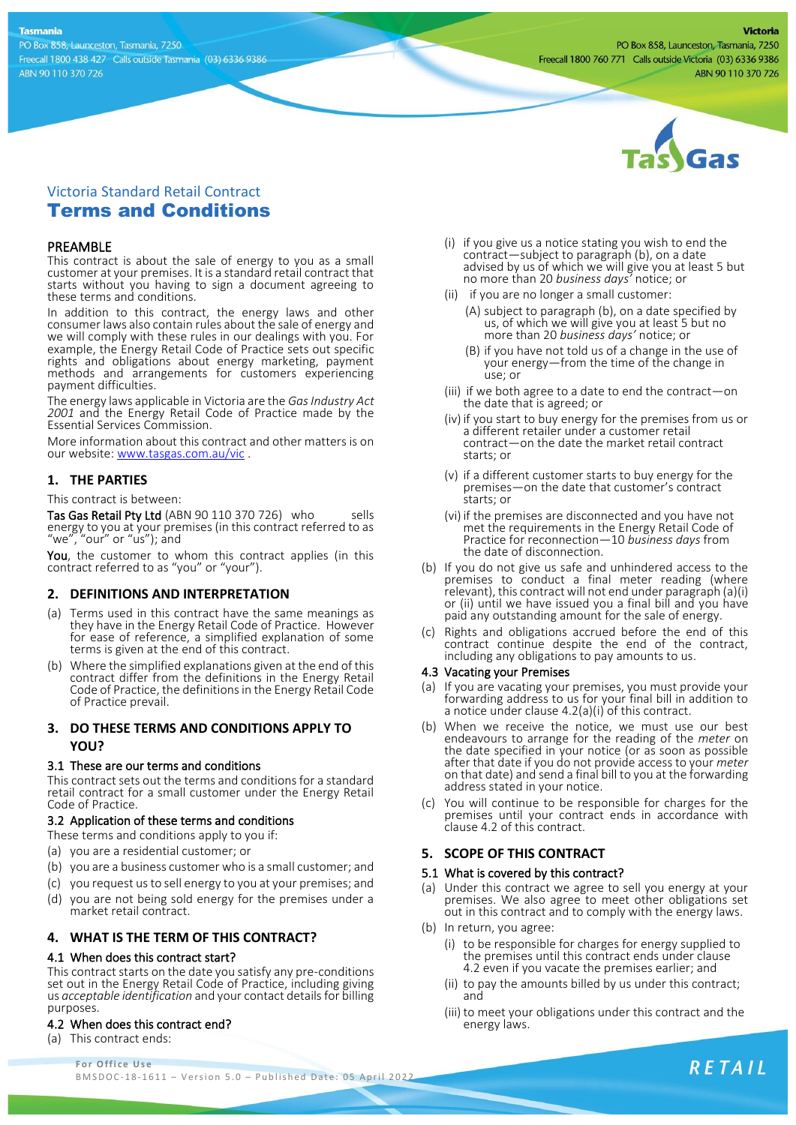#### **Tasmania**

PO Box 858, Launceston, Tasmania, 7250 Freecall 1800 438 427 Calls outside Tasmania (03) 6336 9386 ABN 90 110 370 726



# Victoria Standard Retail Contract Terms and Conditions

## PREAMBLE

This contract is about the sale of energy to you as a small customer at your premises. It is a standard retail contract that starts without you having to sign a document agreeing to these terms and conditions.

In addition to this contract, the energy laws and other consumer laws also contain rules about the sale of energy and we will comply with these rules in our dealings with you. For example, the Energy Retail Code of Practice sets out specific rights and obligations about energy marketing, payment methods and arrangements for customers experiencing payment difficulties.

The energy laws applicable in Victoria are the *Gas Industry Act 2001* and the Energy Retail Code of Practice made by the Essential Services Commission.

More information about this contract and other matters is on our website: [www.tasgas.com.au/vic](http://www.tasgas.com.au/vic) .

# **1. THE PARTIES**

This contract is between:

Tas Gas Retail Pty Ltd (ABN 90 110 370 726) who sells energy to you at your premises (in this contract referred to as "we", "our" or "us"); and

You, the customer to whom this contract applies (in this contract referred to as "you" or "your").

### **2. DEFINITIONS AND INTERPRETATION**

- (a) Terms used in this contract have the same meanings as they have in the Energy Retail Code of Practice. However for ease of reference, a simplified explanation of some terms is given at the end of this contract.
- (b) Where the simplified explanations given at the end of this contract differ from the definitions in the Energy Retail Code of Practice, the definitions in the Energy Retail Code of Practice prevail.

# **3. DO THESE TERMS AND CONDITIONS APPLY TO YOU?**

### 3.1 These are our terms and conditions

This contract sets out the terms and conditions for a standard retail contract for a small customer under the Energy Retail Code of Practice.

### 3.2 Application of these terms and conditions

- These terms and conditions apply to you if:
- (a) you are a residential customer; or
- (b) you are a business customer who is a small customer; and
- (c) you request us to sell energy to you at your premises; and
- (d) you are not being sold energy for the premises under a market retail contract.

# **4. WHAT IS THE TERM OF THIS CONTRACT?**

### 4.1 When does this contract start?

This contract starts on the date you satisfy any pre-conditions set out in the Energy Retail Code of Practice, including giving us *acceptable identification* and your contact details for billing purposes.

### 4.2 When does this contract end?

**For Office Use** (a) This contract ends:

- (i) if you give us a notice stating you wish to end the contract—subject to paragraph (b), on a date advised by us of which we will give you at least 5 but no more than 20 *business days'* notice; or
- (ii) if you are no longer a small customer:
	- (A) subject to paragraph (b), on a date specified by us, of which we will give you at least 5 but no more than 20 *business days'* notice; or
	- (B) if you have not told us of a change in the use of your energy—from the time of the change in use; or
- (iii) if we both agree to a date to end the contract—on the date that is agreed; or
- (iv) if you start to buy energy for the premises from us or a different retailer under a customer retail contract—on the date the market retail contract starts; or
- (v) if a different customer starts to buy energy for the premises—on the date that customer's contract starts; or
- (vi) if the premises are disconnected and you have not met the requirements in the Energy Retail Code of Practice for reconnection—10 *business days* from the date of disconnection.
- (b) If you do not give us safe and unhindered access to the premises to conduct a final meter reading (where relevant), this contract will not end under paragraph (a)(i) or (ii) until we have issued you a final bill and you have paid any outstanding amount for the sale of energy.
- Rights and obligations accrued before the end of this contract continue despite the end of the contract, including any obligations to pay amounts to us.

### 4.3 Vacating your Premises

- (a) If you are vacating your premises, you must provide your forwarding address to us for your final bill in addition to a notice under clause 4.2(a)(i) of this contract.
- (b) When we receive the notice, we must use our best endeavours to arrange for the reading of the *meter* on the date specified in your notice (or as soon as possible after that date if you do not provide access to your *meter* on that date) and send a final bill to you at the forwarding address stated in your notice.
- (c) You will continue to be responsible for charges for the premises until your contract ends in accordance with clause 4.2 of this contract.

# **5. SCOPE OF THIS CONTRACT**

### 5.1 What is covered by this contract?

- (a) Under this contract we agree to sell you energy at your premises. We also agree to meet other obligations set out in this contract and to comply with the energy laws.
- (b) In return, you agree:
	- (i) to be responsible for charges for energy supplied to the premises until this contract ends under clause 4.2 even if you vacate the premises earlier; and
	- (ii) to pay the amounts billed by us under this contract; and
	- (iii) to meet your obligations under this contract and the energy laws.

B M S D O C - 18 - 1611 – V ersion 5.0 – Published Date: 05 April 2022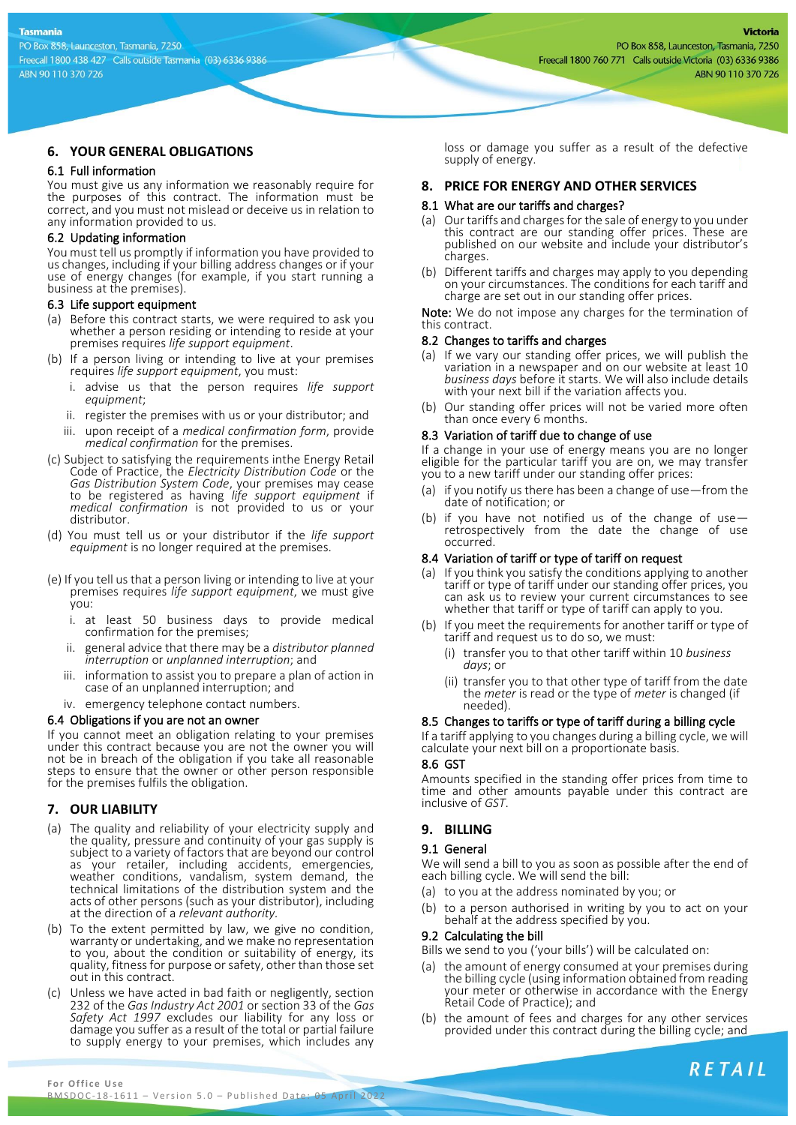# **6. YOUR GENERAL OBLIGATIONS**

### 6.1 Full information

You must give us any information we reasonably require for the purposes of this contract. The information must be correct, and you must not mislead or deceive us in relation to any information provided to us.

#### 6.2 Updating information

You must tell us promptly if information you have provided to us changes, including if your billing address changes or if your use of energy changes (for example, if you start running a business at the premises).

#### 6.3 Life support equipment

- (a) Before this contract starts, we were required to ask you whether a person residing or intending to reside at your premises requires *life support equipment*.
- (b) If a person living or intending to live at your premises requires *life support equipment*, you must:
	- i. advise us that the person requires *life support equipment*;
	- ii. register the premises with us or your distributor; and
	- iii. upon receipt of a *medical confirmation form*, provide *medical confirmation* for the premises.
- (c) Subject to satisfying the requirements inthe Energy Retail Code of Practice, the *Electricity Distribution Code* or the *Gas Distribution System Code*, your premises may cease to be registered as having *life support equipment* if *medical confirmation* is not provided to us or your distributor.
- (d) You must tell us or your distributor if the *life support*  equipment is no longer required at the premises.
- (e) If you tell us that a person living or intending to live at your premises requires *life support equipment*, we must give you:
	- i. at least 50 business days to provide medical confirmation for the premises;
	- ii. general advice that there may be a *distributor planned interruption* or *unplanned interruption*; and
	- iii. information to assist you to prepare a plan of action in case of an unplanned interruption; and
	- iv. emergency telephone contact numbers.

### 6.4 Obligations if you are not an owner

If you cannot meet an obligation relating to your premises under this contract because you are not the owner you will not be in breach of the obligation if you take all reasonable steps to ensure that the owner or other person responsible for the premises fulfils the obligation.

# **7. OUR LIABILITY**

- (a) The quality and reliability of your electricity supply and the quality, pressure and continuity of your gas supply is subject to a variety of factors that are beyond our control as your retailer, including accidents, emergencies, weather conditions, vandalism, system demand, the technical limitations of the distribution system and the acts of other persons (such as your distributor), including at the direction of a *relevant authority.*
- (b) To the extent permitted by law, we give no condition, warranty or undertaking, and we make no representation to you, about the condition or suitability of energy, its quality, fitness for purpose or safety, other than those set out in this contract.
- (c) Unless we have acted in bad faith or negligently, section 232 of the *Gas Industry Act 2001* or section 33 of the *Gas Safety Act 1997* excludes our liability for any loss or damage you suffer as a result of the total or partial failure to supply energy to your premises, which includes any

loss or damage you suffer as a result of the defective supply of energy.

## **8. PRICE FOR ENERGY AND OTHER SERVICES**

### 8.1 What are our tariffs and charges?

- (a) Our tariffs and charges for the sale of energy to you under this contract are our standing offer prices. These are published on our website and include your distributor's charges.
- (b) Different tariffs and charges may apply to you depending on your circumstances. The conditions for each tariff and charge are set out in our standing offer prices.

Note: We do not impose any charges for the termination of this contract.

#### 8.2 Changes to tariffs and charges

- (a) If we vary our standing offer prices, we will publish the variation in a newspaper and on our website at least 10 *business days* before it starts. We will also include details with your next bill if the variation affects you.
- (b) Our standing offer prices will not be varied more often than once every 6 months.

## 8.3 Variation of tariff due to change of use

If a change in your use of energy means you are no longer eligible for the particular tariff you are on, we may transfer you to a new tariff under our standing offer prices:

- (a) if you notify us there has been a change of use—from the date of notification; or
- (b) if you have not notified us of the change of use retrospectively from the date the change of use occurred.

#### 8.4 Variation of tariff or type of tariff on request

- (a) If you think you satisfy the conditions applying to another tariff or type of tariff under our standing offer prices, you can ask us to review your current circumstances to see whether that tariff or type of tariff can apply to you.
- (b) If you meet the requirements for another tariff or type of tariff and request us to do so, we must:
	- (i) transfer you to that other tariff within 10 *business days*; or
	- (ii) transfer you to that other type of tariff from the date the *meter* is read or the type of *meter* is changed (if needed).

### 8.5 Changes to tariffs or type of tariff during a billing cycle

If a tariff applying to you changes during a billing cycle, we will calculate your next bill on a proportionate basis.

#### 8.6 GST

Amounts specified in the standing offer prices from time to time and other amounts payable under this contract are inclusive of *GST*.

# **9. BILLING**

### 9.1 General

We will send a bill to you as soon as possible after the end of each billing cycle. We will send the bill:

- (a) to you at the address nominated by you; or
- (b) to a person authorised in writing by you to act on your behalf at the address specified by you.

#### 9.2 Calculating the bill

Bills we send to you ('your bills') will be calculated on:

- the amount of energy consumed at your premises during the billing cycle (using information obtained from reading your meter or otherwise in accordance with the Energy Retail Code of Practice); and
- (b) the amount of fees and charges for any other services provided under this contract during the billing cycle; and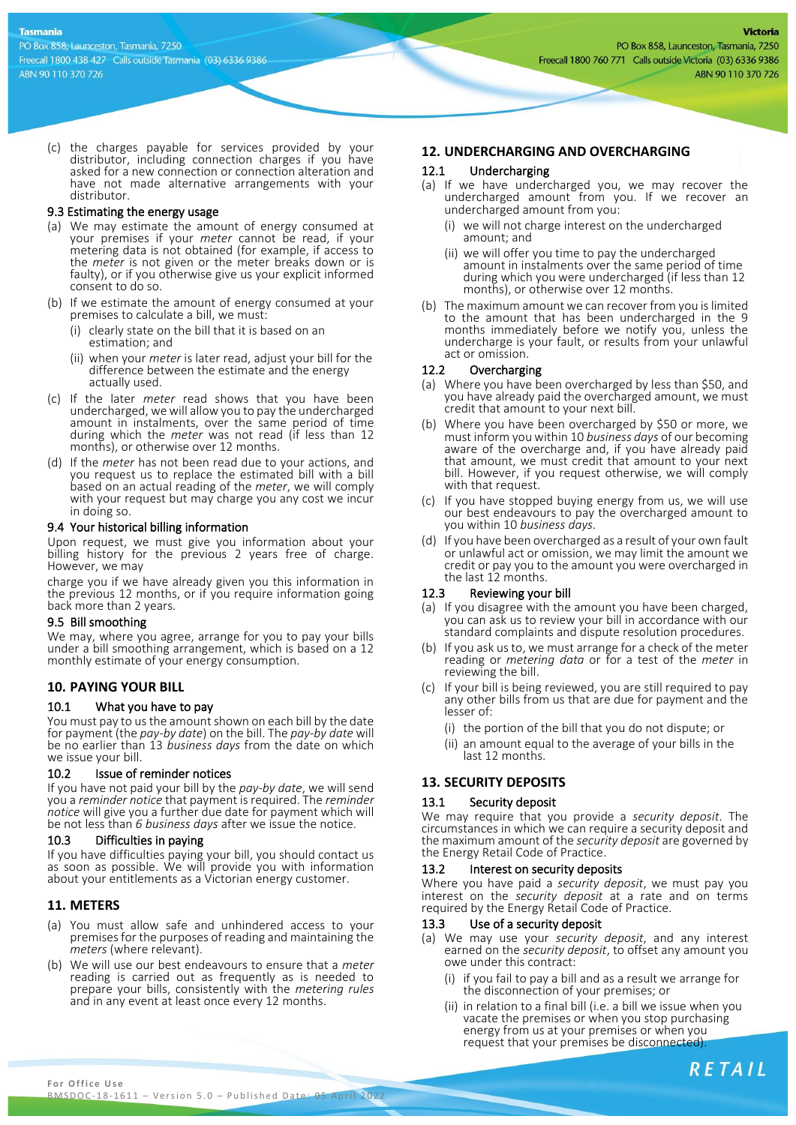(c) the charges payable for services provided by your distributor, including connection charges if you have asked for a new connection or connection alteration and have not made alternative arrangements with your distributor.

### 9.3 Estimating the energy usage

- (a) We may estimate the amount of energy consumed at your premises if your *meter* cannot be read, if your metering data is not obtained (for example, if access to the *meter* is not given or the meter breaks down or is faulty), or if you otherwise give us your explicit informed consent to do so.
- (b) If we estimate the amount of energy consumed at your premises to calculate a bill, we must:
	- (i) clearly state on the bill that it is based on an estimation; and
	- (ii) when your *meter* is later read, adjust your bill for the difference between the estimate and the energy actually used.
- (c) If the later *meter* read shows that you have been undercharged, we will allow you to pay the undercharged amount in instalments, over the same period of time during which the *meter* was not read (if less than 12 months), or otherwise over 12 months.
- (d) If the *meter* has not been read due to your actions, and you request us to replace the estimated bill with a bill based on an actual reading of the *meter*, we will comply with your request but may charge you any cost we incur in doing so.

### 9.4 Your historical billing information

Upon request, we must give you information about your billing history for the previous 2 years free of charge. However, we may

charge you if we have already given you this information in the previous 12 months, or if you require information going back more than 2 years.

### 9.5 Bill smoothing

We may, where you agree, arrange for you to pay your bills under a bill smoothing arrangement, which is based on a 12 monthly estimate of your energy consumption.

# **10. PAYING YOUR BILL**

### 10.1 What you have to pay

You must pay to us the amount shown on each bill by the date for payment (the *pay-by date*) on the bill. The *pay-by date* will be no earlier than 13 *business days* from the date on which we issue your bill

### 10.2 Issue of reminder notices

If you have not paid your bill by the *pay-by date*, we will send you a *reminder notice* that payment is required. The *reminder notice* will give you a further due date for payment which will be not less than *6 business days* after we issue the notice.

## 10.3 Difficulties in paying

If you have difficulties paying your bill, you should contact us as soon as possible. We will provide you with information about your entitlements as a Victorian energy customer.

### **11. METERS**

- (a) You must allow safe and unhindered access to your premises for the purposes of reading and maintaining the *meters* (where relevant).
- (b) We will use our best endeavours to ensure that a *meter* reading is carried out as frequently as is needed to prepare your bills, consistently with the *metering rules* and in any event at least once every 12 months.

## **12. UNDERCHARGING AND OVERCHARGING**

#### 12.1 Undercharging

- (a) If we have undercharged you, we may recover the undercharged amount from you. If we recover an undercharged amount from you:
	- (i) we will not charge interest on the undercharged amount; and
	- (ii) we will offer you time to pay the undercharged amount in instalments over the same period of time during which you were undercharged (if less than 12 months), or otherwise over 12 months.
- (b) The maximum amount we can recover from you is limited to the amount that has been undercharged in the 9 months immediately before we notify you, unless the undercharge is your fault, or results from your unlawful act or omission.

#### 12.2 Overcharging

- (a) Where you have been overcharged by less than \$50, and you have already paid the overcharged amount, we must credit that amount to your next bill.
- (b) Where you have been overcharged by \$50 or more, we must inform you within 10 *business days* of our becoming aware of the overcharge and, if you have already paid that amount, we must credit that amount to your next bill. However, if you request otherwise, we will comply with that request.
- (c) If you have stopped buying energy from us, we will use our best endeavours to pay the overcharged amount to you within 10 *business days.*
- (d) If you have been overcharged as a result of your own fault or unlawful act or omission, we may limit the amount we credit or pay you to the amount you were overcharged in the last 12 months.

### 12.3 Reviewing your bill

- (a) If you disagree with the amount you have been charged, you can ask us to review your bill in accordance with our standard complaints and dispute resolution procedures.
- (b) If you ask us to, we must arrange for a check of the meter reading or *metering data* or for a test of the *meter* in reviewing the bill.
- (c) If your bill is being reviewed, you are still required to pay any other bills from us that are due for payment and the lesser of:
	- (i) the portion of the bill that you do not dispute; or
	- (ii) an amount equal to the average of your bills in the last 12 months.

# **13. SECURITY DEPOSITS**

### Security deposit

We may require that you provide a *security deposit*. The circumstances in which we can require a security deposit and the maximum amount of the *security deposit* are governed by the Energy Retail Code of Practice.

### 13.2 Interest on security deposits

Where you have paid a *security deposit*, we must pay you interest on the *security deposit* at a rate and on terms required by the Energy Retail Code of Practice.

### 13.3 Use of a security deposit

- (a) We may use your *security deposit*, and any interest earned on the *security deposit*, to offset any amount you owe under this contract:
	- (i) if you fail to pay a bill and as a result we arrange for the disconnection of your premises; or
	- (ii) in relation to a final bill (i.e. a bill we issue when you vacate the premises or when you stop purchasing energy from us at your premises or when you request that your premises be disconnected).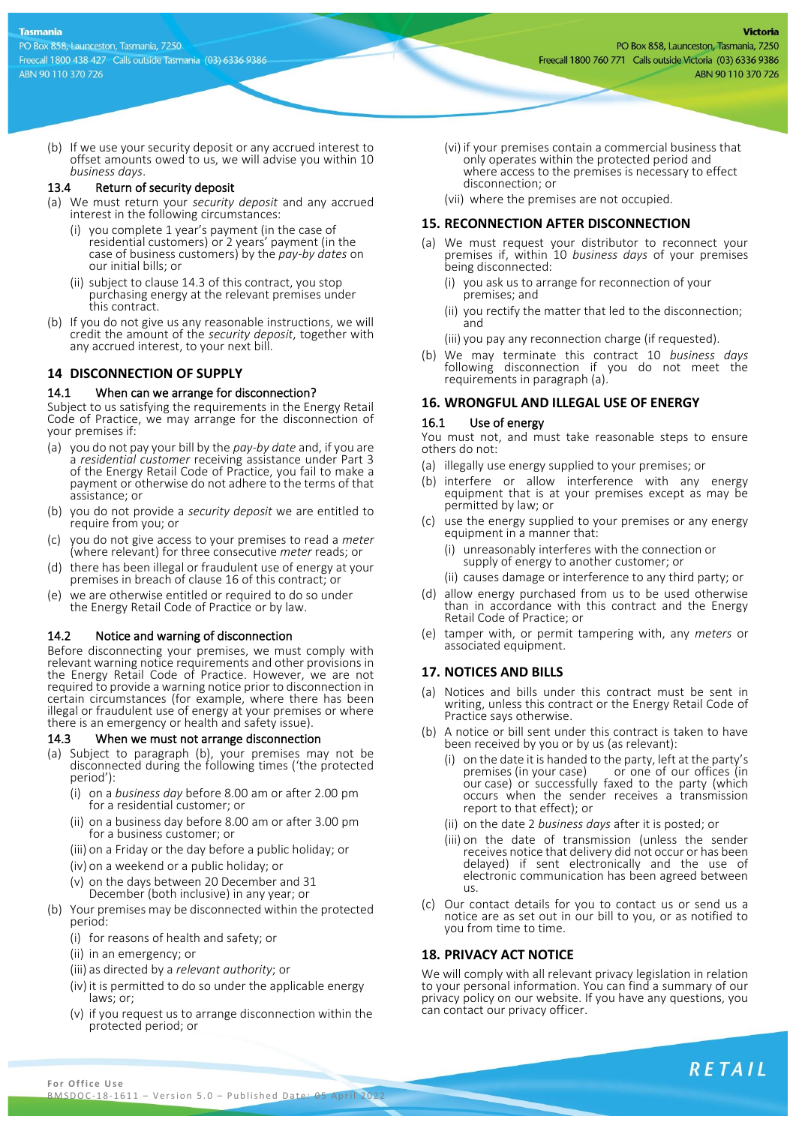(b) If we use your security deposit or any accrued interest to offset amounts owed to us, we will advise you within 10 *business days*.

### 13.4 Return of security deposit

- (a) We must return your *security deposit* and any accrued interest in the following circumstances:
	- (i) you complete 1 year's payment (in the case of residential customers) or 2 years' payment (in the case of business customers) by the *pay-by dates* on our initial bills; or
	- (ii) subject to clause 14.3 of this contract, you stop purchasing energy at the relevant premises under this contract.
- (b) If you do not give us any reasonable instructions, we will credit the amount of the *security deposit*, together with any accrued interest, to your next bill.

# **14 DISCONNECTION OF SUPPLY**

# 14.1 When can we arrange for disconnection?

Subject to us satisfying the requirements in the Energy Retail Code of Practice, we may arrange for the disconnection of your premises if:

- (a) you do not pay your bill by the *pay-by date* and, if you are a *residential customer* receiving assistance under Part 3 of the Energy Retail Code of Practice, you fail to make a payment or otherwise do not adhere to the terms of that assistance; or
- (b) you do not provide a *security deposit* we are entitled to require from you; or
- (c) you do not give access to your premises to read a *meter* (where relevant) for three consecutive *meter* reads; or
- (d) there has been illegal or fraudulent use of energy at your premises in breach of clause 16 of this contract; or
- (e) we are otherwise entitled or required to do so under the Energy Retail Code of Practice or by law.

# 14.2 Notice and warning of disconnection

Before disconnecting your premises, we must comply with relevant warning notice requirements and other provisions in the Energy Retail Code of Practice. However, we are not required to provide a warning notice prior to disconnection in certain circumstances (for example, where there has been illegal or fraudulent use of energy at your premises or where there is an emergency or health and safety issue).

# 14.3 When we must not arrange disconnection

- (a) Subject to paragraph (b), your premises may not be disconnected during the following times ('the protected period'):
	- (i) on a *business day* before 8.00 am or after 2.00 pm for a residential customer; or
	- (ii) on a business day before 8.00 am or after 3.00 pm for a business customer; or
	- (iii) on a Friday or the day before a public holiday; or
	- (iv) on a weekend or a public holiday; or
	- (v) on the days between 20 December and 31
	- December (both inclusive) in any year; or
- (b) Your premises may be disconnected within the protected period:
	- (i) for reasons of health and safety; or
	- (ii) in an emergency; or
	- (iii) as directed by a *relevant authority*; or
	- (iv) it is permitted to do so under the applicable energy laws; or;
	- (v) if you request us to arrange disconnection within the protected period; or
- (vi) if your premises contain a commercial business that only operates within the protected period and where access to the premises is necessary to effect disconnection; or
- (vii) where the premises are not occupied.

# **15. RECONNECTION AFTER DISCONNECTION**

- (a) We must request your distributor to reconnect your premises if, within 10 *business days* of your premises being disconnected:
	- (i) you ask us to arrange for reconnection of your premises; and
	- (ii) you rectify the matter that led to the disconnection; and
	- (iii) you pay any reconnection charge (if requested).
- (b) We may terminate this contract 10 *business days* following disconnection if you do not meet the requirements in paragraph (a).

# **16. WRONGFUL AND ILLEGAL USE OF ENERGY**

# 16.1 Use of energy

You must not, and must take reasonable steps to ensure others do not:

- (a) illegally use energy supplied to your premises; or
- (b) interfere or allow interference with any energy equipment that is at your premises except as may be permitted by law; or
- (c) use the energy supplied to your premises or any energy equipment in a manner that:
	- (i) unreasonably interferes with the connection or supply of energy to another customer; or
	- (ii) causes damage or interference to any third party; or
- (d) allow energy purchased from us to be used otherwise than in accordance with this contract and the Energy Retail Code of Practice; or
- (e) tamper with, or permit tampering with, any *meters* or associated equipment.

# **17. NOTICES AND BILLS**

- (a) Notices and bills under this contract must be sent in writing, unless this contract or the Energy Retail Code of Practice says otherwise.
- (b) A notice or bill sent under this contract is taken to have been received by you or by us (as relevant):
	- (i) on the date it is handed to the party, left at the party's premises (in your case) or one of our offices (in or one of our offices (in our case) or successfully faxed to the party (which occurs when the sender receives a transmission report to that effect); or
	- (ii) on the date 2 *business days* after it is posted; or
	- (iii) on the date of transmission (unless the sender receives notice that delivery did not occur or has been delayed) if sent electronically and the use of electronic communication has been agreed between us.
- (c) Our contact details for you to contact us or send us a notice are as set out in our bill to you, or as notified to you from time to time.

# **18. PRIVACY ACT NOTICE**

We will comply with all relevant privacy legislation in relation to your personal information. You can find a summary of our privacy policy on our website. If you have any questions, you can contact our privacy officer.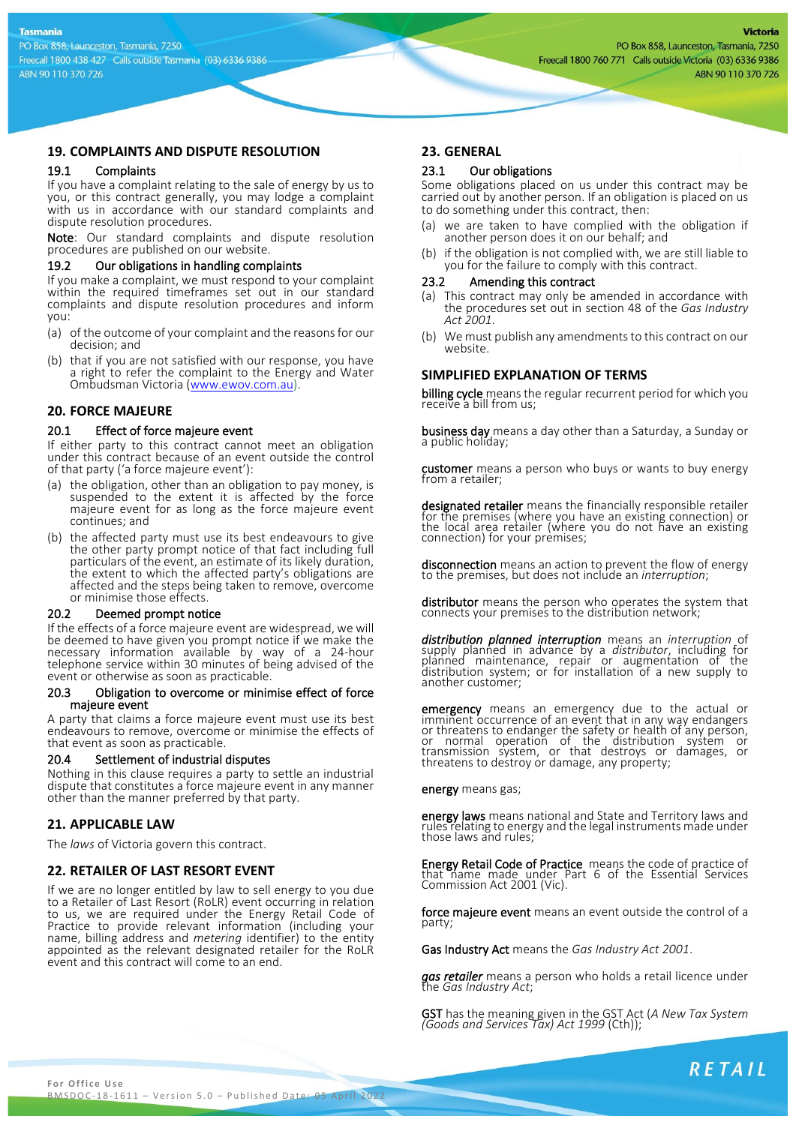# **19. COMPLAINTS AND DISPUTE RESOLUTION**

#### 19.1 Complaints

If you have a complaint relating to the sale of energy by us to you, or this contract generally, you may lodge a complaint with us in accordance with our standard complaints and dispute resolution procedures.

Note: Our standard complaints and dispute resolution procedures are published on our website.

#### 19.2 Our obligations in handling complaints

If you make a complaint, we must respond to your complaint within the required timeframes set out in our standard complaints and dispute resolution procedures and inform you:

- (a) of the outcome of your complaint and the reasons for our decision; and
- (b) that if you are not satisfied with our response, you have a right to refer the complaint to the Energy and Water Ombudsman Victoria [\(www.ewov.com.au\)](http://www.ewov.com.au/).

### **20. FORCE MAJEURE**

#### 20.1 Effect of force majeure event

If either party to this contract cannot meet an obligation under this contract because of an event outside the control of that party ('a force majeure event'):

- (a) the obligation, other than an obligation to pay money, is suspended to the extent it is affected by the force majeure event for as long as the force majeure event continues; and
- (b) the affected party must use its best endeavours to give the other party prompt notice of that fact including full particulars of the event, an estimate of its likely duration, the extent to which the affected party's obligations are affected and the steps being taken to remove, overcome or minimise those effects.

#### 20.2 Deemed prompt notice

If the effects of a force majeure event are widespread, we will be deemed to have given you prompt notice if we make the necessary information available by way of a 24-hour telephone service within 30 minutes of being advised of the event or otherwise as soon as practicable.

#### 20.3 Obligation to overcome or minimise effect of force majeure event

A party that claims a force majeure event must use its best endeavours to remove, overcome or minimise the effects of that event as soon as practicable.

### 20.4 Settlement of industrial disputes

Nothing in this clause requires a party to settle an industrial dispute that constitutes a force majeure event in any manner other than the manner preferred by that party.

# **21. APPLICABLE LAW**

The *laws* of Victoria govern this contract.

# **22. RETAILER OF LAST RESORT EVENT**

If we are no longer entitled by law to sell energy to you due to a Retailer of Last Resort (RoLR) event occurring in relation to us, we are required under the Energy Retail Code of Practice to provide relevant information (including your name, billing address and *metering* identifier) to the entity appointed as the relevant designated retailer for the RoLR event and this contract will come to an end.

## **23. GENERAL**

#### 23.1 Our obligations

Some obligations placed on us under this contract may be carried out by another person. If an obligation is placed on us to do something under this contract, then:

- (a) we are taken to have complied with the obligation if another person does it on our behalf; and
- (b) if the obligation is not complied with, we are still liable to you for the failure to comply with this contract.

#### 23.2 Amending this contract

- (a) This contract may only be amended in accordance with the procedures set out in section 48 of the *Gas Industry Act 2001*.
- (b) We must publish any amendments to this contract on our website.

## **SIMPLIFIED EXPLANATION OF TERMS**

billing cycle means the regular recurrent period for which you receive a bill from us;

business day means a day other than a Saturday, a Sunday or a public holiday;

customer means a person who buys or wants to buy energy<br>from a retailer;

designated retailer means the financially responsible retailer for the premises (where you have an existing connection) or the local area retailer (where you do not have an existing connection) for your premises;

disconnection means an action to prevent the flow of energy to the premises, but does not include an *interruption*;

distributor means the person who operates the system that connects your premises to the distribution network;

*distribution planned interruption* means an *interruption* of supply planned in advance by a *distributor*, including for planned maintenance, repair or augmentation of the distribution system; or for installation of a new supply to another customer;

emergency means an emergency due to the actual or imminent occurrence of an event that in any way endangers or threatens to endanger the safety or health of any person, or normal operation of the distribution system or transmission system, or that destroys or damages, or threatens to destroy or damage, any property;

energy means gas;

energy laws means national and State and Territory laws and rules relating to energy and the legal instruments made under those laws and rules;

Energy Retail Code of Practice means the code of practice of that name made under Part 6 of the Essential Services Commission Act 2001 (Vic).

force majeure event means an event outside the control of a party;

Gas Industry Act means the *Gas Industry Act 2001*.

*gas retailer* means a person who holds a retail licence under the *Gas Industry Act*;

GST has the meaning given in the GST Act (*A New Tax System (Goods and Services Tax) Act 1999* (Cth));